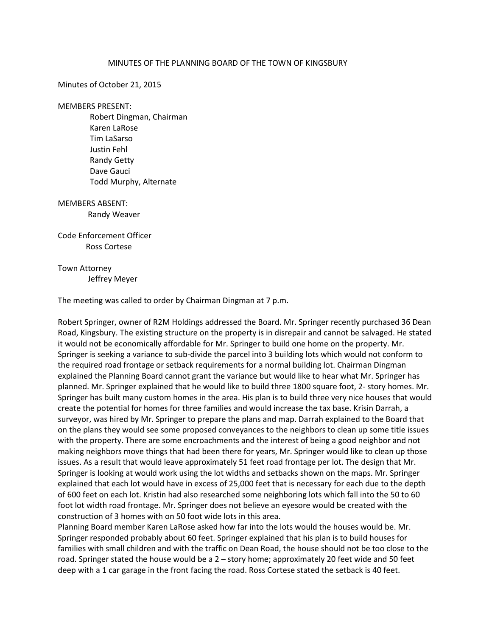## MINUTES OF THE PLANNING BOARD OF THE TOWN OF KINGSBURY

Minutes of October 21, 2015

MEMBERS PRESENT:

 Robert Dingman, Chairman Karen LaRose Tim LaSarso Justin Fehl Randy Getty Dave Gauci Todd Murphy, Alternate

MEMBERS ABSENT: Randy Weaver

Code Enforcement Officer Ross Cortese

Town Attorney Jeffrey Meyer

The meeting was called to order by Chairman Dingman at 7 p.m.

Robert Springer, owner of R2M Holdings addressed the Board. Mr. Springer recently purchased 36 Dean Road, Kingsbury. The existing structure on the property is in disrepair and cannot be salvaged. He stated it would not be economically affordable for Mr. Springer to build one home on the property. Mr. Springer is seeking a variance to sub-divide the parcel into 3 building lots which would not conform to the required road frontage or setback requirements for a normal building lot. Chairman Dingman explained the Planning Board cannot grant the variance but would like to hear what Mr. Springer has planned. Mr. Springer explained that he would like to build three 1800 square foot, 2- story homes. Mr. Springer has built many custom homes in the area. His plan is to build three very nice houses that would create the potential for homes for three families and would increase the tax base. Krisin Darrah, a surveyor, was hired by Mr. Springer to prepare the plans and map. Darrah explained to the Board that on the plans they would see some proposed conveyances to the neighbors to clean up some title issues with the property. There are some encroachments and the interest of being a good neighbor and not making neighbors move things that had been there for years, Mr. Springer would like to clean up those issues. As a result that would leave approximately 51 feet road frontage per lot. The design that Mr. Springer is looking at would work using the lot widths and setbacks shown on the maps. Mr. Springer explained that each lot would have in excess of 25,000 feet that is necessary for each due to the depth of 600 feet on each lot. Kristin had also researched some neighboring lots which fall into the 50 to 60 foot lot width road frontage. Mr. Springer does not believe an eyesore would be created with the construction of 3 homes with on 50 foot wide lots in this area.

Planning Board member Karen LaRose asked how far into the lots would the houses would be. Mr. Springer responded probably about 60 feet. Springer explained that his plan is to build houses for families with small children and with the traffic on Dean Road, the house should not be too close to the road. Springer stated the house would be a 2 – story home; approximately 20 feet wide and 50 feet deep with a 1 car garage in the front facing the road. Ross Cortese stated the setback is 40 feet.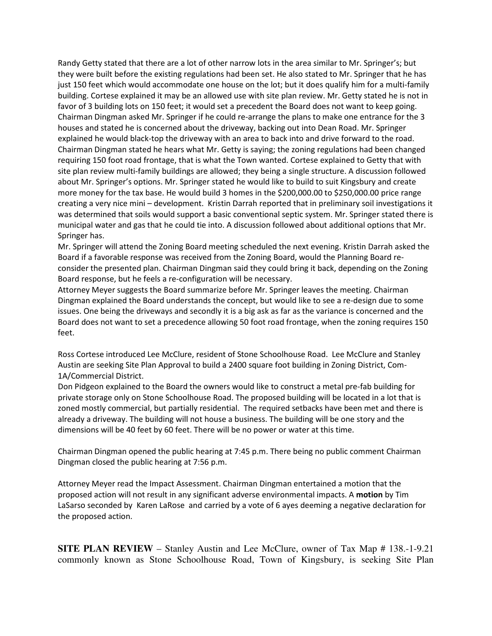Randy Getty stated that there are a lot of other narrow lots in the area similar to Mr. Springer's; but they were built before the existing regulations had been set. He also stated to Mr. Springer that he has just 150 feet which would accommodate one house on the lot; but it does qualify him for a multi-family building. Cortese explained it may be an allowed use with site plan review. Mr. Getty stated he is not in favor of 3 building lots on 150 feet; it would set a precedent the Board does not want to keep going. Chairman Dingman asked Mr. Springer if he could re-arrange the plans to make one entrance for the 3 houses and stated he is concerned about the driveway, backing out into Dean Road. Mr. Springer explained he would black-top the driveway with an area to back into and drive forward to the road. Chairman Dingman stated he hears what Mr. Getty is saying; the zoning regulations had been changed requiring 150 foot road frontage, that is what the Town wanted. Cortese explained to Getty that with site plan review multi-family buildings are allowed; they being a single structure. A discussion followed about Mr. Springer's options. Mr. Springer stated he would like to build to suit Kingsbury and create more money for the tax base. He would build 3 homes in the \$200,000.00 to \$250,000.00 price range creating a very nice mini – development. Kristin Darrah reported that in preliminary soil investigations it was determined that soils would support a basic conventional septic system. Mr. Springer stated there is municipal water and gas that he could tie into. A discussion followed about additional options that Mr. Springer has.

Mr. Springer will attend the Zoning Board meeting scheduled the next evening. Kristin Darrah asked the Board if a favorable response was received from the Zoning Board, would the Planning Board reconsider the presented plan. Chairman Dingman said they could bring it back, depending on the Zoning Board response, but he feels a re-configuration will be necessary.

Attorney Meyer suggests the Board summarize before Mr. Springer leaves the meeting. Chairman Dingman explained the Board understands the concept, but would like to see a re-design due to some issues. One being the driveways and secondly it is a big ask as far as the variance is concerned and the Board does not want to set a precedence allowing 50 foot road frontage, when the zoning requires 150 feet.

Ross Cortese introduced Lee McClure, resident of Stone Schoolhouse Road. Lee McClure and Stanley Austin are seeking Site Plan Approval to build a 2400 square foot building in Zoning District, Com-1A/Commercial District.

Don Pidgeon explained to the Board the owners would like to construct a metal pre-fab building for private storage only on Stone Schoolhouse Road. The proposed building will be located in a lot that is zoned mostly commercial, but partially residential. The required setbacks have been met and there is already a driveway. The building will not house a business. The building will be one story and the dimensions will be 40 feet by 60 feet. There will be no power or water at this time.

Chairman Dingman opened the public hearing at 7:45 p.m. There being no public comment Chairman Dingman closed the public hearing at 7:56 p.m.

Attorney Meyer read the Impact Assessment. Chairman Dingman entertained a motion that the proposed action will not result in any significant adverse environmental impacts. A **motion** by Tim LaSarso seconded by Karen LaRose and carried by a vote of 6 ayes deeming a negative declaration for the proposed action.

**SITE PLAN REVIEW** – Stanley Austin and Lee McClure, owner of Tax Map # 138.-1-9.21 commonly known as Stone Schoolhouse Road, Town of Kingsbury, is seeking Site Plan